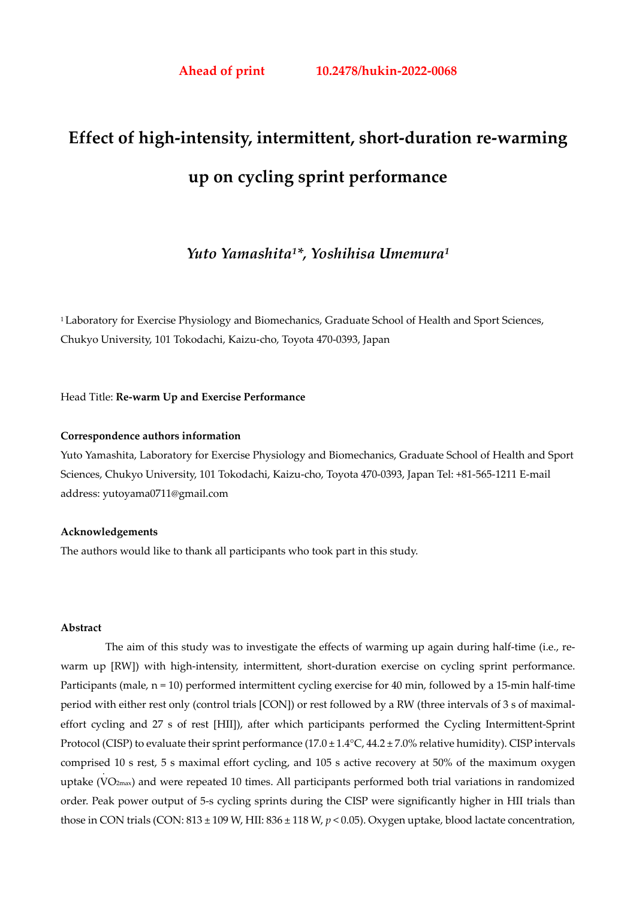# **Effect of high-intensity, intermittent, short-duration re-warming up on cycling sprint performance**

*Yuto Yamashita1\*, Yoshihisa Umemura1* 

<sup>1</sup> Laboratory for Exercise Physiology and Biomechanics, Graduate School of Health and Sport Sciences, Chukyo University, 101 Tokodachi, Kaizu-cho, Toyota 470-0393, Japan

#### Head Title: **Re-warm Up and Exercise Performance**

#### **Correspondence authors information**

Yuto Yamashita, Laboratory for Exercise Physiology and Biomechanics, Graduate School of Health and Sport Sciences, Chukyo University, 101 Tokodachi, Kaizu-cho, Toyota 470-0393, Japan Tel: +81-565-1211 E-mail address: yutoyama0711@gmail.com

## **Acknowledgements**

The authors would like to thank all participants who took part in this study.

## **Abstract**

The aim of this study was to investigate the effects of warming up again during half-time (i.e., rewarm up [RW]) with high-intensity, intermittent, short-duration exercise on cycling sprint performance. Participants (male,  $n = 10$ ) performed intermittent cycling exercise for 40 min, followed by a 15-min half-time period with either rest only (control trials [CON]) or rest followed by a RW (three intervals of 3 s of maximaleffort cycling and 27 s of rest [HII]), after which participants performed the Cycling Intermittent-Sprint Protocol (CISP) to evaluate their sprint performance ( $17.0 \pm 1.4$ °C,  $44.2 \pm 7.0$ % relative humidity). CISP intervals comprised 10 s rest, 5 s maximal effort cycling, and 105 s active recovery at 50% of the maximum oxygen . uptake (V O2max) and were repeated 10 times. All participants performed both trial variations in randomized order. Peak power output of 5-s cycling sprints during the CISP were significantly higher in HII trials than those in CON trials (CON: 813 ± 109 W, HII: 836 ± 118 W, *p* < 0.05). Oxygen uptake, blood lactate concentration,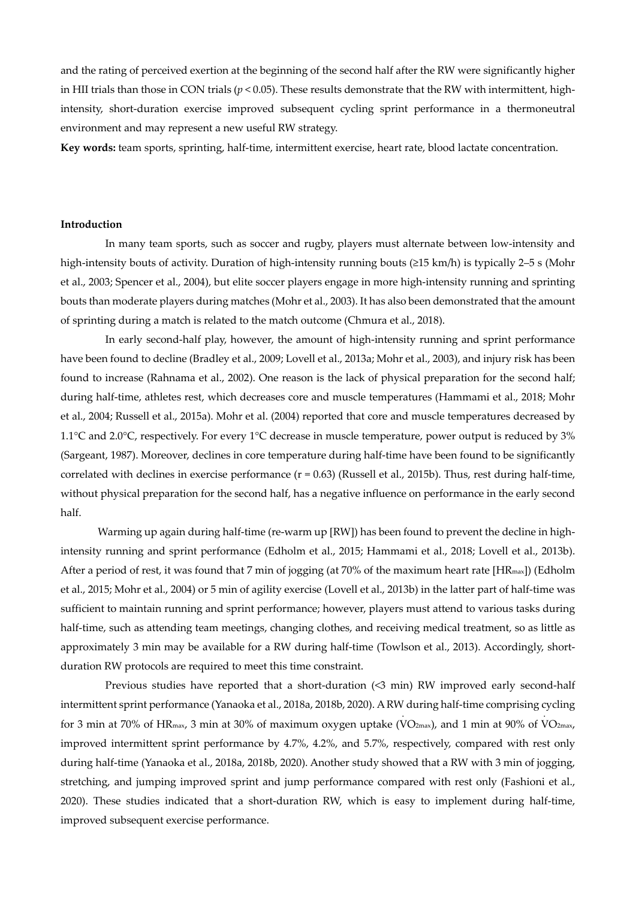and the rating of perceived exertion at the beginning of the second half after the RW were significantly higher in HII trials than those in CON trials ( $p < 0.05$ ). These results demonstrate that the RW with intermittent, highintensity, short-duration exercise improved subsequent cycling sprint performance in a thermoneutral environment and may represent a new useful RW strategy.

**Key words:** team sports, sprinting, half-time, intermittent exercise, heart rate, blood lactate concentration.

#### **Introduction**

In many team sports, such as soccer and rugby, players must alternate between low-intensity and high-intensity bouts of activity. Duration of high-intensity running bouts (≥15 km/h) is typically 2–5 s (Mohr et al., 2003; Spencer et al., 2004), but elite soccer players engage in more high-intensity running and sprinting bouts than moderate players during matches (Mohr et al., 2003). It has also been demonstrated that the amount of sprinting during a match is related to the match outcome (Chmura et al., 2018).

In early second-half play, however, the amount of high-intensity running and sprint performance have been found to decline (Bradley et al., 2009; Lovell et al., 2013a; Mohr et al., 2003), and injury risk has been found to increase (Rahnama et al., 2002). One reason is the lack of physical preparation for the second half; during half-time, athletes rest, which decreases core and muscle temperatures (Hammami et al., 2018; Mohr et al., 2004; Russell et al., 2015a). Mohr et al. (2004) reported that core and muscle temperatures decreased by 1.1°C and 2.0°C, respectively. For every 1°C decrease in muscle temperature, power output is reduced by 3% (Sargeant, 1987). Moreover, declines in core temperature during half-time have been found to be significantly correlated with declines in exercise performance  $(r = 0.63)$  (Russell et al., 2015b). Thus, rest during half-time, without physical preparation for the second half, has a negative influence on performance in the early second half.

Warming up again during half-time (re-warm up [RW]) has been found to prevent the decline in highintensity running and sprint performance (Edholm et al., 2015; Hammami et al., 2018; Lovell et al., 2013b). After a period of rest, it was found that 7 min of jogging (at 70% of the maximum heart rate [HR<sub>max</sub>]) (Edholm et al., 2015; Mohr et al., 2004) or 5 min of agility exercise (Lovell et al., 2013b) in the latter part of half-time was sufficient to maintain running and sprint performance; however, players must attend to various tasks during half-time, such as attending team meetings, changing clothes, and receiving medical treatment, so as little as approximately 3 min may be available for a RW during half-time (Towlson et al., 2013). Accordingly, shortduration RW protocols are required to meet this time constraint.

Previous studies have reported that a short-duration (<3 min) RW improved early second-half intermittent sprint performance (Yanaoka et al., 2018a, 2018b, 2020). A RW during half-time comprising cycling . . for 3 min at 70% of HR<sub>max</sub>, 3 min at 30% of maximum oxygen uptake (VO2<sub>max</sub>), and 1 min at 90% of VO2<sub>max</sub>, improved intermittent sprint performance by 4.7%, 4.2%, and 5.7%, respectively, compared with rest only during half-time (Yanaoka et al., 2018a, 2018b, 2020). Another study showed that a RW with 3 min of jogging, stretching, and jumping improved sprint and jump performance compared with rest only (Fashioni et al., 2020). These studies indicated that a short-duration RW, which is easy to implement during half-time, improved subsequent exercise performance.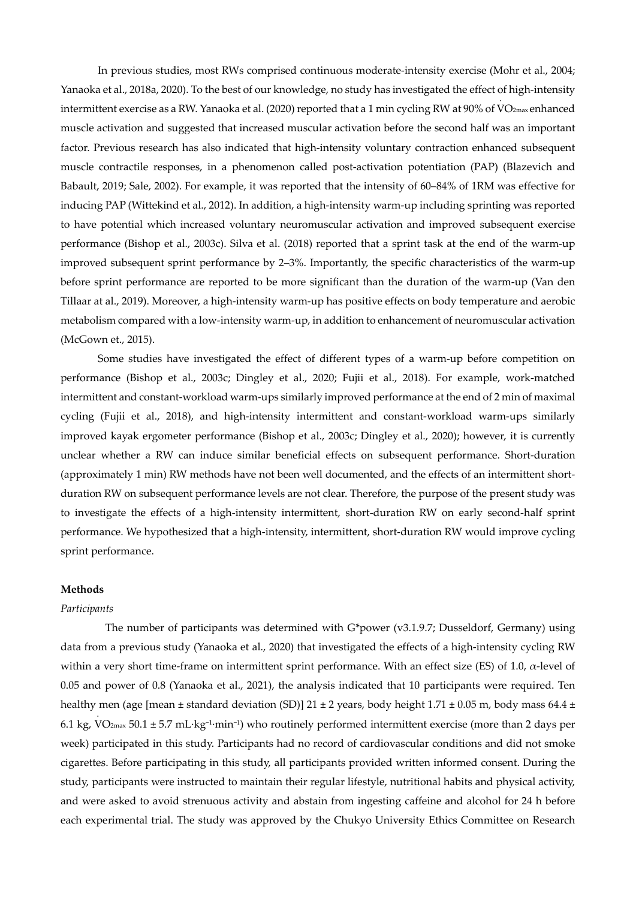In previous studies, most RWs comprised continuous moderate-intensity exercise (Mohr et al., 2004; Yanaoka et al., 2018a, 2020). To the best of our knowledge, no study has investigated the effect of high-intensity . intermittent exercise as a RW. Yanaoka et al. (2020) reported that a 1 min cycling RW at 90% of V O2max enhanced muscle activation and suggested that increased muscular activation before the second half was an important factor. Previous research has also indicated that high-intensity voluntary contraction enhanced subsequent muscle contractile responses, in a phenomenon called post-activation potentiation (PAP) (Blazevich and Babault, 2019; Sale, 2002). For example, it was reported that the intensity of 60–84% of 1RM was effective for inducing PAP (Wittekind et al., 2012). In addition, a high-intensity warm-up including sprinting was reported to have potential which increased voluntary neuromuscular activation and improved subsequent exercise performance (Bishop et al., 2003c). Silva et al. (2018) reported that a sprint task at the end of the warm-up improved subsequent sprint performance by 2–3%. Importantly, the specific characteristics of the warm-up before sprint performance are reported to be more significant than the duration of the warm-up (Van den Tillaar at al., 2019). Moreover, a high-intensity warm-up has positive effects on body temperature and aerobic metabolism compared with a low-intensity warm-up, in addition to enhancement of neuromuscular activation (McGown et., 2015).

Some studies have investigated the effect of different types of a warm-up before competition on performance (Bishop et al., 2003c; Dingley et al., 2020; Fujii et al., 2018). For example, work-matched intermittent and constant-workload warm-ups similarly improved performance at the end of 2 min of maximal cycling (Fujii et al., 2018), and high-intensity intermittent and constant-workload warm-ups similarly improved kayak ergometer performance (Bishop et al., 2003c; Dingley et al., 2020); however, it is currently unclear whether a RW can induce similar beneficial effects on subsequent performance. Short-duration (approximately 1 min) RW methods have not been well documented, and the effects of an intermittent shortduration RW on subsequent performance levels are not clear. Therefore, the purpose of the present study was to investigate the effects of a high-intensity intermittent, short-duration RW on early second-half sprint performance. We hypothesized that a high-intensity, intermittent, short-duration RW would improve cycling sprint performance.

#### **Methods**

#### *Participants*

The number of participants was determined with G\*power (v3.1.9.7; Dusseldorf, Germany) using data from a previous study (Yanaoka et al., 2020) that investigated the effects of a high-intensity cycling RW within a very short time-frame on intermittent sprint performance. With an effect size (ES) of 1.0, α-level of 0.05 and power of 0.8 (Yanaoka et al., 2021), the analysis indicated that 10 participants were required. Ten healthy men (age [mean ± standard deviation (SD)] 21 ± 2 years, body height 1.71 ± 0.05 m, body mass 64.4 ± . 6.1 kg, V O2max 50.1 ± 5.7 mL·kg−1·min−1) who routinely performed intermittent exercise (more than 2 days per week) participated in this study. Participants had no record of cardiovascular conditions and did not smoke cigarettes. Before participating in this study, all participants provided written informed consent. During the study, participants were instructed to maintain their regular lifestyle, nutritional habits and physical activity, and were asked to avoid strenuous activity and abstain from ingesting caffeine and alcohol for 24 h before each experimental trial. The study was approved by the Chukyo University Ethics Committee on Research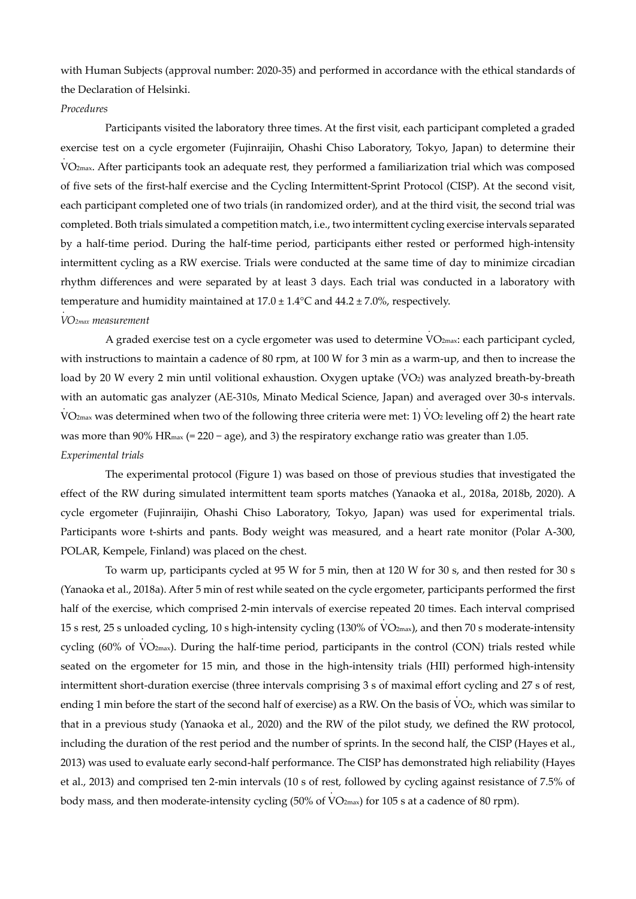with Human Subjects (approval number: 2020-35) and performed in accordance with the ethical standards of the Declaration of Helsinki.

#### *Procedures*

Participants visited the laboratory three times. At the first visit, each participant completed a graded exercise test on a cycle ergometer (Fujinraijin, Ohashi Chiso Laboratory, Tokyo, Japan) to determine their . V O2max. After participants took an adequate rest, they performed a familiarization trial which was composed of five sets of the first-half exercise and the Cycling Intermittent-Sprint Protocol (CISP). At the second visit, each participant completed one of two trials (in randomized order), and at the third visit, the second trial was completed. Both trials simulated a competition match, i.e., two intermittent cycling exercise intervals separated by a half-time period. During the half-time period, participants either rested or performed high-intensity intermittent cycling as a RW exercise. Trials were conducted at the same time of day to minimize circadian rhythm differences and were separated by at least 3 days. Each trial was conducted in a laboratory with temperature and humidity maintained at 17.0 ± 1.4°C and 44.2 ± 7.0%, respectively. .

#### *V O2max measurement*

A graded exercise test on a cycle ergometer was used to determine VO<sub>2max</sub>: each participant cycled, with instructions to maintain a cadence of 80 rpm, at 100 W for 3 min as a warm-up, and then to increase the . load by 20 W every 2 min until volitional exhaustion. Oxygen uptake (V O2) was analyzed breath-by-breath with an automatic gas analyzer (AE-310s, Minato Medical Science, Japan) and averaged over 30-s intervals. . . V O2max was determined when two of the following three criteria were met: 1) V O2 leveling off 2) the heart rate was more than 90% HR<sub>max</sub> (= 220 − age), and 3) the respiratory exchange ratio was greater than 1.05. *Experimental trials* 

.

The experimental protocol (Figure 1) was based on those of previous studies that investigated the effect of the RW during simulated intermittent team sports matches (Yanaoka et al., 2018a, 2018b, 2020). A cycle ergometer (Fujinraijin, Ohashi Chiso Laboratory, Tokyo, Japan) was used for experimental trials. Participants wore t-shirts and pants. Body weight was measured, and a heart rate monitor (Polar A-300, POLAR, Kempele, Finland) was placed on the chest.

To warm up, participants cycled at 95 W for 5 min, then at 120 W for 30 s, and then rested for 30 s (Yanaoka et al., 2018a). After 5 min of rest while seated on the cycle ergometer, participants performed the first half of the exercise, which comprised 2-min intervals of exercise repeated 20 times. Each interval comprised . 15 s rest, 25 s unloaded cycling, 10 s high-intensity cycling (130% of V O2max), and then 70 s moderate-intensity . cycling (60% of V O2max). During the half-time period, participants in the control (CON) trials rested while seated on the ergometer for 15 min, and those in the high-intensity trials (HII) performed high-intensity intermittent short-duration exercise (three intervals comprising 3 s of maximal effort cycling and 27 s of rest, . ending 1 min before the start of the second half of exercise) as a RW. On the basis of VO2, which was similar to that in a previous study (Yanaoka et al., 2020) and the RW of the pilot study, we defined the RW protocol, including the duration of the rest period and the number of sprints. In the second half, the CISP (Hayes et al., 2013) was used to evaluate early second-half performance. The CISP has demonstrated high reliability (Hayes et al., 2013) and comprised ten 2-min intervals (10 s of rest, followed by cycling against resistance of 7.5% of . body mass, and then moderate-intensity cycling (50% of V O2max) for 105 s at a cadence of 80 rpm).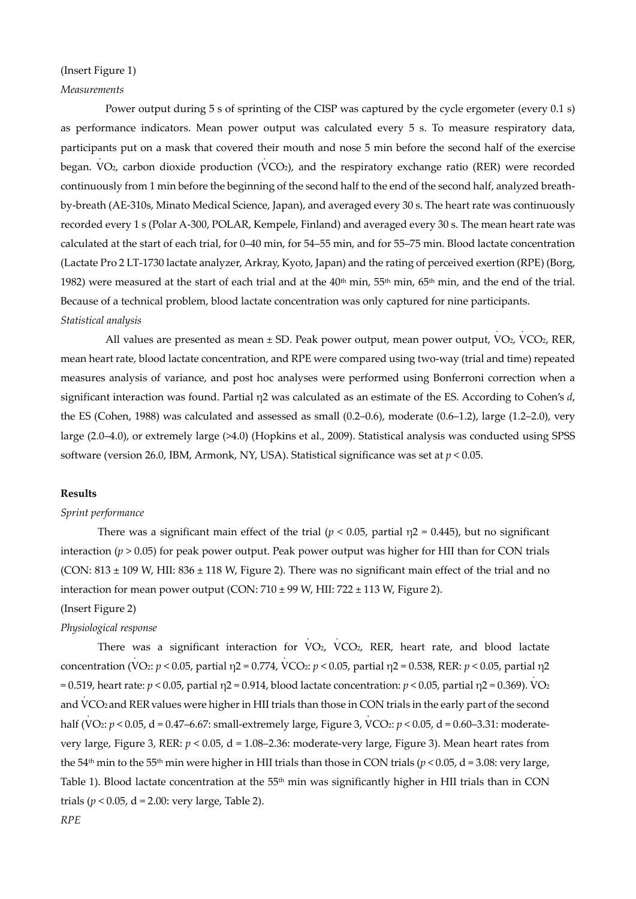## (Insert Figure 1)

## *Measurements*

Power output during 5 s of sprinting of the CISP was captured by the cycle ergometer (every 0.1 s) as performance indicators. Mean power output was calculated every 5 s. To measure respiratory data, participants put on a mask that covered their mouth and nose 5 min before the second half of the exercise . . began. V O2, carbon dioxide production (V CO2), and the respiratory exchange ratio (RER) were recorded continuously from 1 min before the beginning of the second half to the end of the second half, analyzed breathby-breath (AE-310s, Minato Medical Science, Japan), and averaged every 30 s. The heart rate was continuously recorded every 1 s (Polar A-300, POLAR, Kempele, Finland) and averaged every 30 s. The mean heart rate was calculated at the start of each trial, for 0–40 min, for 54–55 min, and for 55–75 min. Blood lactate concentration (Lactate Pro 2 LT-1730 lactate analyzer, Arkray, Kyoto, Japan) and the rating of perceived exertion (RPE) (Borg, 1982) were measured at the start of each trial and at the  $40th$  min,  $55th$  min,  $65th$  min, and the end of the trial. Because of a technical problem, blood lactate concentration was only captured for nine participants. *Statistical analysis*  . .

All values are presented as mean ± SD. Peak power output, mean power output, VO<sub>2</sub>, VCO<sub>2</sub>, RER, mean heart rate, blood lactate concentration, and RPE were compared using two-way (trial and time) repeated measures analysis of variance, and post hoc analyses were performed using Bonferroni correction when a significant interaction was found. Partial η2 was calculated as an estimate of the ES. According to Cohen's *d*, the ES (Cohen, 1988) was calculated and assessed as small (0.2–0.6), moderate (0.6–1.2), large (1.2–2.0), very large (2.0–4.0), or extremely large (>4.0) (Hopkins et al., 2009). Statistical analysis was conducted using SPSS software (version 26.0, IBM, Armonk, NY, USA). Statistical significance was set at *p* < 0.05.

## **Results**

#### *Sprint performance*

There was a significant main effect of the trial ( $p < 0.05$ , partial  $\eta$ 2 = 0.445), but no significant interaction ( $p > 0.05$ ) for peak power output. Peak power output was higher for HII than for CON trials (CON: 813 ± 109 W, HII: 836 ± 118 W, Figure 2). There was no significant main effect of the trial and no interaction for mean power output (CON:  $710 \pm 99$  W, HII:  $722 \pm 113$  W, Figure 2).

.

.

#### (Insert Figure 2)

#### *Physiological response*

There was a significant interaction for V O2, V was a significant interaction for VO2, VCO2, RER, heart rate, and blood lactate concentration (V O2: *p* < 0.05, partial η2 = 0.774, V CO2: *p* < 0.05, partial η2 = 0.538, RER: *p* < 0.05, partial η2 . = 0.519, heart rate: *p* < 0.05, partial η2 = 0.914, blood lactate concentration: *p* < 0.05, partial η2 = 0.369). VO2 and V CO2 and RERvalues were higher in HII trials than those in CON trials in the early part of the second . . half (V O2: *p* < 0.05, d = 0.47–6.67: small-extremely large, Figure 3, V CO2: *p* < 0.05, d = 0.60–3.31: moderatevery large, Figure 3, RER: *p* < 0.05, d = 1.08–2.36: moderate-very large, Figure 3). Mean heart rates from the 54<sup>th</sup> min to the 55<sup>th</sup> min were higher in HII trials than those in CON trials ( $p$  < 0.05, d = 3.08: very large, Table 1). Blood lactate concentration at the  $55<sup>th</sup>$  min was significantly higher in HII trials than in CON trials ( $p < 0.05$ ,  $d = 2.00$ : very large, Table 2). *RPE*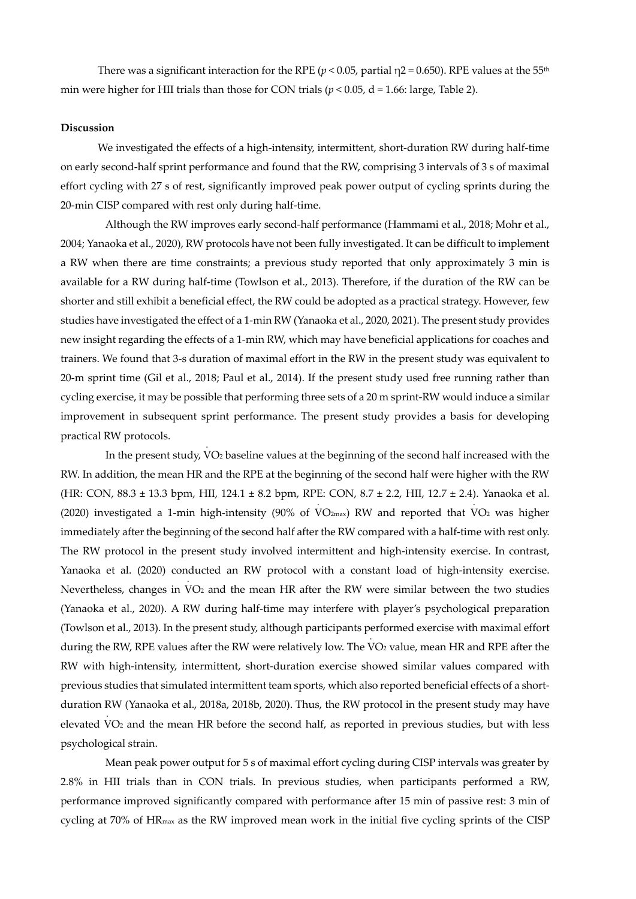There was a significant interaction for the RPE ( $p < 0.05$ , partial  $\eta$ 2 = 0.650). RPE values at the 55<sup>th</sup> min were higher for HII trials than those for CON trials ( $p < 0.05$ , d = 1.66: large, Table 2).

### **Discussion**

We investigated the effects of a high-intensity, intermittent, short-duration RW during half-time on early second-half sprint performance and found that the RW, comprising 3 intervals of 3 s of maximal effort cycling with 27 s of rest, significantly improved peak power output of cycling sprints during the 20-min CISP compared with rest only during half-time.

Although the RW improves early second-half performance (Hammami et al., 2018; Mohr et al., 2004; Yanaoka et al., 2020), RW protocols have not been fully investigated. It can be difficult to implement a RW when there are time constraints; a previous study reported that only approximately 3 min is available for a RW during half-time (Towlson et al., 2013). Therefore, if the duration of the RW can be shorter and still exhibit a beneficial effect, the RW could be adopted as a practical strategy. However, few studies have investigated the effect of a 1-min RW (Yanaoka et al., 2020, 2021). The present study provides new insight regarding the effects of a 1-min RW, which may have beneficial applications for coaches and trainers. We found that 3-s duration of maximal effort in the RW in the present study was equivalent to 20-m sprint time (Gil et al., 2018; Paul et al., 2014). If the present study used free running rather than cycling exercise, it may be possible that performing three sets of a 20 m sprint-RW would induce a similar improvement in subsequent sprint performance. The present study provides a basis for developing practical RW protocols. .

In the present study, V O2 baseline values at the beginning of the second half increased with the RW. In addition, the mean HR and the RPE at the beginning of the second half were higher with the RW (HR: CON, 88.3 ± 13.3 bpm, HII, 124.1 ± 8.2 bpm, RPE: CON, 8.7 ± 2.2, HII, 12.7 ± 2.4). Yanaoka et al. . . (2020) investigated a 1-min high-intensity (90% of  $VO_{2\text{max}}$ ) RW and reported that  $VO_2$  was higher immediately after the beginning of the second half after the RW compared with a half-time with rest only. The RW protocol in the present study involved intermittent and high-intensity exercise. In contrast, Yanaoka et al. (2020) conducted an RW protocol with a constant load of high-intensity exercise. . Nevertheless, changes in V O2 and the mean HR after the RW were similar between the two studies (Yanaoka et al., 2020). A RW during half-time may interfere with player's psychological preparation (Towlson et al., 2013). In the present study, although participants performed exercise with maximal effort . during the RW, RPE values after the RW were relatively low. The V O2 value, mean HR and RPE after the RW with high-intensity, intermittent, short-duration exercise showed similar values compared with previous studies that simulated intermittent team sports, which also reported beneficial effects of a shortduration RW (Yanaoka et al., 2018a, 2018b, 2020). Thus, the RW protocol in the present study may have . elevated V O2 and the mean HR before the second half, as reported in previous studies, but with less psychological strain.

Mean peak power output for 5 s of maximal effort cycling during CISP intervals was greater by 2.8% in HII trials than in CON trials. In previous studies, when participants performed a RW, performance improved significantly compared with performance after 15 min of passive rest: 3 min of cycling at 70% of HRmax as the RW improved mean work in the initial five cycling sprints of the CISP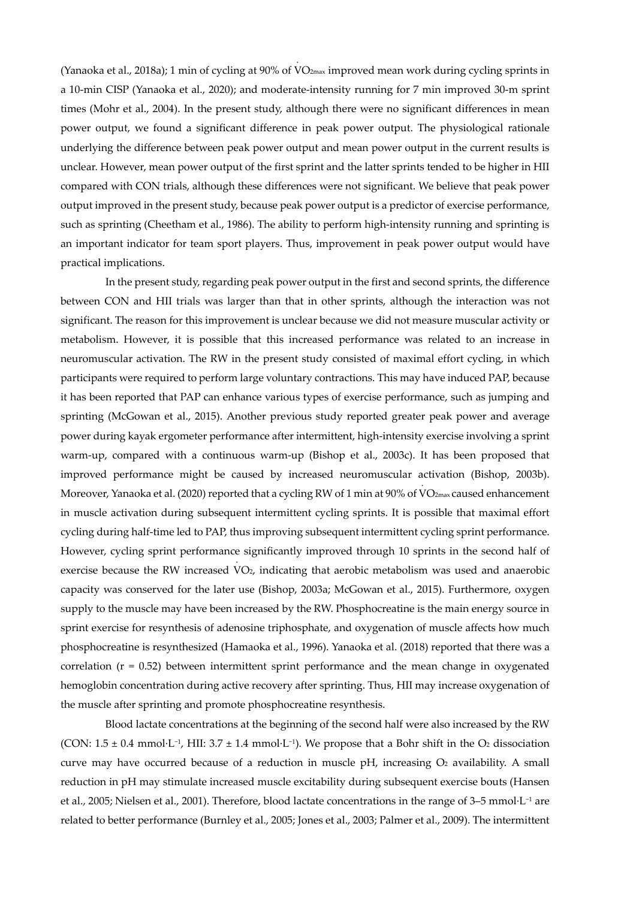(Yanaoka et al., 2018a); 1 min of cycling at 90% of V O2max improved mean work during cycling sprints in a 10-min CISP (Yanaoka et al., 2020); and moderate-intensity running for 7 min improved 30-m sprint times (Mohr et al., 2004). In the present study, although there were no significant differences in mean power output, we found a significant difference in peak power output. The physiological rationale underlying the difference between peak power output and mean power output in the current results is unclear. However, mean power output of the first sprint and the latter sprints tended to be higher in HII compared with CON trials, although these differences were not significant. We believe that peak power output improved in the present study, because peak power output is a predictor of exercise performance, such as sprinting (Cheetham et al., 1986). The ability to perform high-intensity running and sprinting is an important indicator for team sport players. Thus, improvement in peak power output would have practical implications.

.

In the present study, regarding peak power output in the first and second sprints, the difference between CON and HII trials was larger than that in other sprints, although the interaction was not significant. The reason for this improvement is unclear because we did not measure muscular activity or metabolism. However, it is possible that this increased performance was related to an increase in neuromuscular activation. The RW in the present study consisted of maximal effort cycling, in which participants were required to perform large voluntary contractions. This may have induced PAP, because it has been reported that PAP can enhance various types of exercise performance, such as jumping and sprinting (McGowan et al., 2015). Another previous study reported greater peak power and average power during kayak ergometer performance after intermittent, high-intensity exercise involving a sprint warm-up, compared with a continuous warm-up (Bishop et al., 2003c). It has been proposed that improved performance might be caused by increased neuromuscular activation (Bishop, 2003b). . Moreover, Yanaoka et al. (2020) reported that a cycling RW of 1 min at 90% of VO $_{\rm 2max}$ caused enhancement in muscle activation during subsequent intermittent cycling sprints. It is possible that maximal effort cycling during half-time led to PAP, thus improving subsequent intermittent cycling sprint performance. However, cycling sprint performance significantly improved through 10 sprints in the second half of . exercise because the RW increased VO2, indicating that aerobic metabolism was used and anaerobic capacity was conserved for the later use (Bishop, 2003a; McGowan et al., 2015). Furthermore, oxygen supply to the muscle may have been increased by the RW. Phosphocreatine is the main energy source in sprint exercise for resynthesis of adenosine triphosphate, and oxygenation of muscle affects how much phosphocreatine is resynthesized (Hamaoka et al., 1996). Yanaoka et al. (2018) reported that there was a correlation  $(r = 0.52)$  between intermittent sprint performance and the mean change in oxygenated hemoglobin concentration during active recovery after sprinting. Thus, HII may increase oxygenation of the muscle after sprinting and promote phosphocreatine resynthesis.

Blood lactate concentrations at the beginning of the second half were also increased by the RW (CON:  $1.5 \pm 0.4$  mmol·L<sup>-1</sup>, HII:  $3.7 \pm 1.4$  mmol·L<sup>-1</sup>). We propose that a Bohr shift in the O<sub>2</sub> dissociation curve may have occurred because of a reduction in muscle pH, increasing  $O<sub>2</sub>$  availability. A small reduction in pH may stimulate increased muscle excitability during subsequent exercise bouts (Hansen et al., 2005; Nielsen et al., 2001). Therefore, blood lactate concentrations in the range of 3–5 mmol·L−1 are related to better performance (Burnley et al., 2005; Jones et al., 2003; Palmer et al., 2009). The intermittent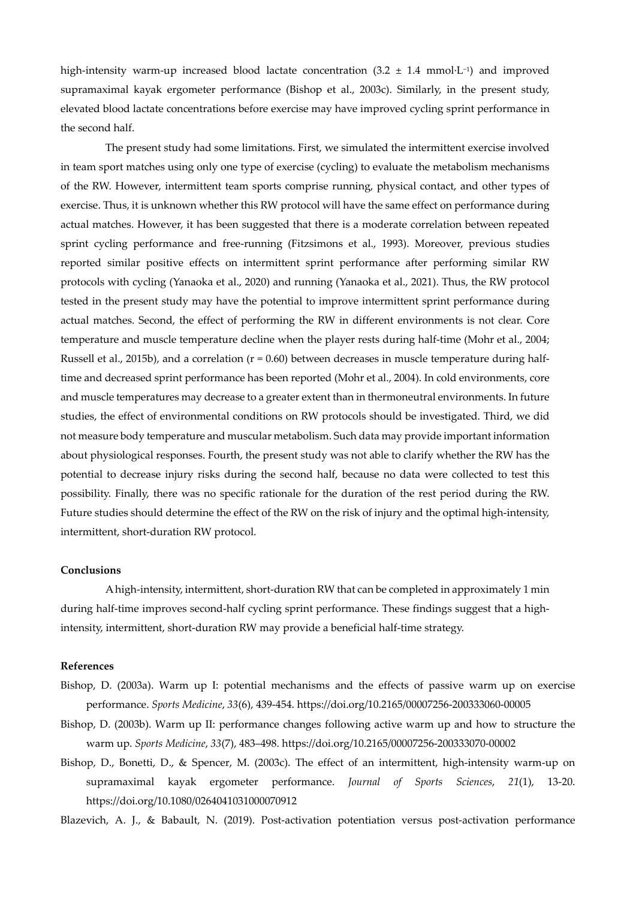high-intensity warm-up increased blood lactate concentration (3.2 ± 1.4 mmol·L−1) and improved supramaximal kayak ergometer performance (Bishop et al., 2003c). Similarly, in the present study, elevated blood lactate concentrations before exercise may have improved cycling sprint performance in the second half.

The present study had some limitations. First, we simulated the intermittent exercise involved in team sport matches using only one type of exercise (cycling) to evaluate the metabolism mechanisms of the RW. However, intermittent team sports comprise running, physical contact, and other types of exercise. Thus, it is unknown whether this RW protocol will have the same effect on performance during actual matches. However, it has been suggested that there is a moderate correlation between repeated sprint cycling performance and free-running (Fitzsimons et al., 1993). Moreover, previous studies reported similar positive effects on intermittent sprint performance after performing similar RW protocols with cycling (Yanaoka et al., 2020) and running (Yanaoka et al., 2021). Thus, the RW protocol tested in the present study may have the potential to improve intermittent sprint performance during actual matches. Second, the effect of performing the RW in different environments is not clear. Core temperature and muscle temperature decline when the player rests during half-time (Mohr et al., 2004; Russell et al., 2015b), and a correlation  $(r = 0.60)$  between decreases in muscle temperature during halftime and decreased sprint performance has been reported (Mohr et al., 2004). In cold environments, core and muscle temperatures may decrease to a greater extent than in thermoneutral environments. In future studies, the effect of environmental conditions on RW protocols should be investigated. Third, we did not measure body temperature and muscular metabolism. Such data may provide important information about physiological responses. Fourth, the present study was not able to clarify whether the RW has the potential to decrease injury risks during the second half, because no data were collected to test this possibility. Finally, there was no specific rationale for the duration of the rest period during the RW. Future studies should determine the effect of the RW on the risk of injury and the optimal high-intensity, intermittent, short-duration RW protocol.

#### **Conclusions**

A high-intensity, intermittent, short-duration RW that can be completed in approximately 1 min during half-time improves second-half cycling sprint performance. These findings suggest that a highintensity, intermittent, short-duration RW may provide a beneficial half-time strategy.

#### **References**

- Bishop, D. (2003a). Warm up I: potential mechanisms and the effects of passive warm up on exercise performance. *Sports Medicine*, *33*(6), 439-454. https://doi.org/10.2165/00007256-200333060-00005
- Bishop, D. (2003b). Warm up II: performance changes following active warm up and how to structure the warm up. *Sports Medicine*, *33*(7), 483–498. https://doi.org/10.2165/00007256-200333070-00002
- Bishop, D., Bonetti, D., & Spencer, M. (2003c). The effect of an intermittent, high-intensity warm-up on supramaximal kayak ergometer performance. *Journal of Sports Sciences*, *21*(1), 13-20. https://doi.org/10.1080/0264041031000070912

Blazevich, A. J., & Babault, N. (2019). Post-activation potentiation versus post-activation performance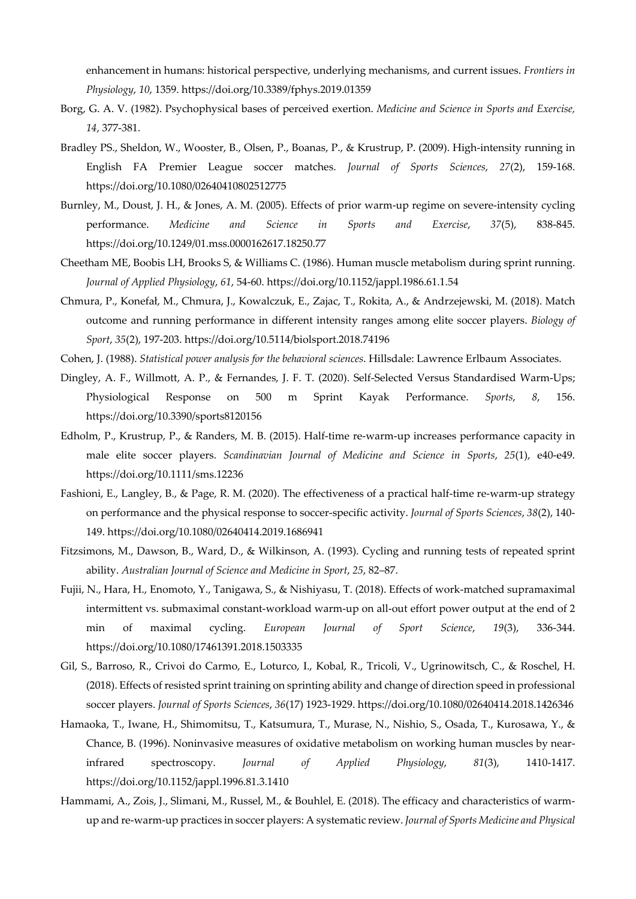enhancement in humans: historical perspective, underlying mechanisms, and current issues. *Frontiers in Physiology*, *10*, 1359. https://doi.org/10.3389/fphys.2019.01359

- Borg, G. A. V. (1982). Psychophysical bases of perceived exertion. *Medicine and Science in Sports and Exercise, 14*, 377-381.
- Bradley PS., Sheldon, W., Wooster, B., Olsen, P., Boanas, P., & Krustrup, P. (2009). High-intensity running in English FA Premier League soccer matches. *Journal of Sports Sciences*, *27*(2), 159-168. https://doi.org/10.1080/02640410802512775
- Burnley, M., Doust, J. H., & Jones, A. M. (2005). Effects of prior warm-up regime on severe-intensity cycling performance. *Medicine and Science in Sports and Exercise*, *37*(5), 838-845. https://doi.org/10.1249/01.mss.0000162617.18250.77
- Cheetham ME, Boobis LH, Brooks S, & Williams C. (1986). Human muscle metabolism during sprint running. *Journal of Applied Physiology*, *61*, 54-60. https://doi.org/10.1152/jappl.1986.61.1.54
- Chmura, P., Konefał, M., Chmura, J., Kowalczuk, E., Zajac, T., Rokita, A., & Andrzejewski, M. (2018). Match outcome and running performance in different intensity ranges among elite soccer players. *Biology of Sport*, *35*(2), 197-203. https://doi.org/10.5114/biolsport.2018.74196
- Cohen, J. (1988). *Statistical power analysis for the behavioral sciences*. Hillsdale: Lawrence Erlbaum Associates.
- Dingley, A. F., Willmott, A. P., & Fernandes, J. F. T. (2020). Self-Selected Versus Standardised Warm-Ups; Physiological Response on 500 m Sprint Kayak Performance. *Sports*, *8*, 156. https://doi.org/10.3390/sports8120156
- Edholm, P., Krustrup, P., & Randers, M. B. (2015). Half-time re-warm-up increases performance capacity in male elite soccer players. *Scandinavian Journal of Medicine and Science in Sports*, *25*(1), e40-e49. https://doi.org/10.1111/sms.12236
- Fashioni, E., Langley, B., & Page, R. M. (2020). The effectiveness of a practical half-time re-warm-up strategy on performance and the physical response to soccer-specific activity. *Journal of Sports Sciences*, *38*(2), 140- 149. https://doi.org/10.1080/02640414.2019.1686941
- Fitzsimons, M., Dawson, B., Ward, D., & Wilkinson, A. (1993). Cycling and running tests of repeated sprint ability. *Australian Journal of Science and Medicine in Sport*, *25*, 82–87.
- Fujii, N., Hara, H., Enomoto, Y., Tanigawa, S., & Nishiyasu, T. (2018). Effects of work-matched supramaximal intermittent vs. submaximal constant-workload warm-up on all-out effort power output at the end of 2 min of maximal cycling. *European Journal of Sport Science*, *19*(3), 336-344. https://doi.org/10.1080/17461391.2018.1503335
- Gil, S., Barroso, R., Crivoi do Carmo, E., Loturco, I., Kobal, R., Tricoli, V., Ugrinowitsch, C., & Roschel, H. (2018). Effects of resisted sprint training on sprinting ability and change of direction speed in professional soccer players. *Journal of Sports Sciences*, *36*(17) 1923-1929. https://doi.org/10.1080/02640414.2018.1426346
- Hamaoka, T., Iwane, H., Shimomitsu, T., Katsumura, T., Murase, N., Nishio, S., Osada, T., Kurosawa, Y., & Chance, B. (1996). Noninvasive measures of oxidative metabolism on working human muscles by nearinfrared spectroscopy. *Journal of Applied Physiology*, *81*(3), 1410-1417. https://doi.org/10.1152/jappl.1996.81.3.1410
- Hammami, A., Zois, J., Slimani, M., Russel, M., & Bouhlel, E. (2018). The efficacy and characteristics of warmup and re-warm-up practices in soccer players: A systematic review. *Journal of Sports Medicine and Physical*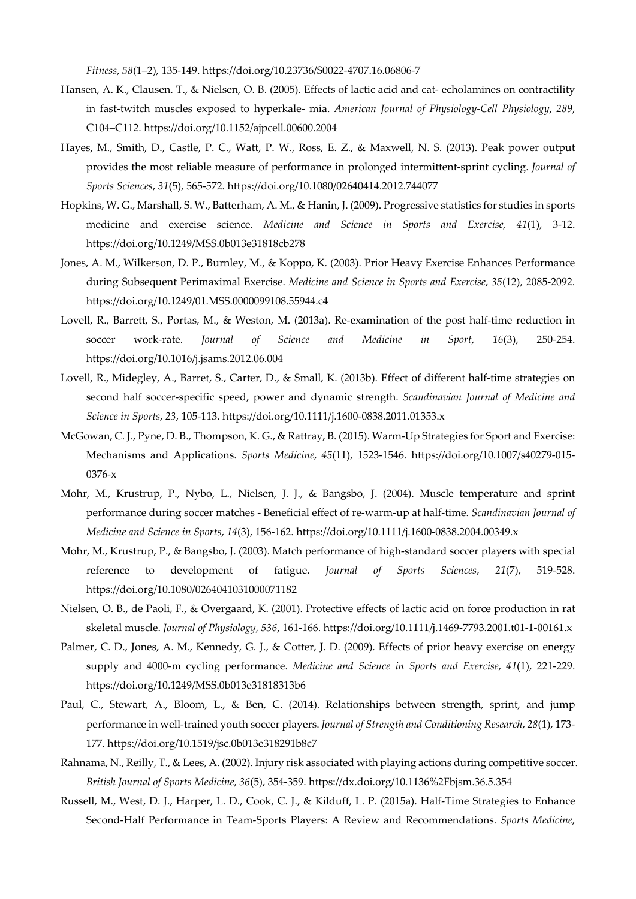*Fitness*, *58*(1–2), 135-149. https://doi.org/10.23736/S0022-4707.16.06806-7

- Hansen, A. K., Clausen. T., & Nielsen, O. B. (2005). Effects of lactic acid and cat- echolamines on contractility in fast-twitch muscles exposed to hyperkale- mia. *American Journal of Physiology-Cell Physiology*, *289*, C104–C112. https://doi.org/10.1152/ajpcell.00600.2004
- Hayes, M., Smith, D., Castle, P. C., Watt, P. W., Ross, E. Z., & Maxwell, N. S. (2013). Peak power output provides the most reliable measure of performance in prolonged intermittent-sprint cycling. *Journal of Sports Sciences*, *31*(5), 565-572. https://doi.org/10.1080/02640414.2012.744077
- Hopkins, W. G., Marshall, S. W., Batterham, A. M., & Hanin, J. (2009). Progressive statistics for studies in sports medicine and exercise science. *Medicine and Science in Sports and Exercise, 41*(1), 3-12. https://doi.org/10.1249/MSS.0b013e31818cb278
- Jones, A. M., Wilkerson, D. P., Burnley, M., & Koppo, K. (2003). Prior Heavy Exercise Enhances Performance during Subsequent Perimaximal Exercise. *Medicine and Science in Sports and Exercise*, *35*(12), 2085-2092. https://doi.org/10.1249/01.MSS.0000099108.55944.c4
- Lovell, R., Barrett, S., Portas, M., & Weston, M. (2013a). Re-examination of the post half-time reduction in soccer work-rate. *Journal of Science and Medicine in Sport*, *16*(3), 250-254. https://doi.org/10.1016/j.jsams.2012.06.004
- Lovell, R., Midegley, A., Barret, S., Carter, D., & Small, K. (2013b). Effect of different half-time strategies on second half soccer-specific speed, power and dynamic strength. *Scandinavian Journal of Medicine and Science in Sports*, *23*, 105-113. https://doi.org/10.1111/j.1600-0838.2011.01353.x
- McGowan, C. J., Pyne, D. B., Thompson, K. G., & Rattray, B. (2015). Warm-Up Strategies for Sport and Exercise: Mechanisms and Applications. *Sports Medicine*, *45*(11), 1523-1546. https://doi.org/10.1007/s40279-015- 0376-x
- Mohr, M., Krustrup, P., Nybo, L., Nielsen, J. J., & Bangsbo, J. (2004). Muscle temperature and sprint performance during soccer matches - Beneficial effect of re-warm-up at half-time. *Scandinavian Journal of Medicine and Science in Sports*, *14*(3), 156-162. https://doi.org/10.1111/j.1600-0838.2004.00349.x
- Mohr, M., Krustrup, P., & Bangsbo, J. (2003). Match performance of high-standard soccer players with special reference to development of fatigue. *Journal of Sports Sciences*, *21*(7), 519-528. https://doi.org/10.1080/0264041031000071182
- Nielsen, O. B., de Paoli, F., & Overgaard, K. (2001). Protective effects of lactic acid on force production in rat skeletal muscle. *Journal of Physiology*, *536*, 161-166. https://doi.org/10.1111/j.1469-7793.2001.t01-1-00161.x
- Palmer, C. D., Jones, A. M., Kennedy, G. J., & Cotter, J. D. (2009). Effects of prior heavy exercise on energy supply and 4000-m cycling performance. *Medicine and Science in Sports and Exercise*, *41*(1), 221-229. https://doi.org/10.1249/MSS.0b013e31818313b6
- Paul, C., Stewart, A., Bloom, L., & Ben, C. (2014). Relationships between strength, sprint, and jump performance in well-trained youth soccer players. *Journal of Strength and Conditioning Research*, *28*(1), 173- 177. https://doi.org/10.1519/jsc.0b013e318291b8c7
- Rahnama, N., Reilly, T., & Lees, A. (2002). Injury risk associated with playing actions during competitive soccer. *British Journal of Sports Medicine*, *36*(5), 354-359. https://dx.doi.org/10.1136%2Fbjsm.36.5.354
- Russell, M., West, D. J., Harper, L. D., Cook, C. J., & Kilduff, L. P. (2015a). Half-Time Strategies to Enhance Second-Half Performance in Team-Sports Players: A Review and Recommendations. *Sports Medicine*,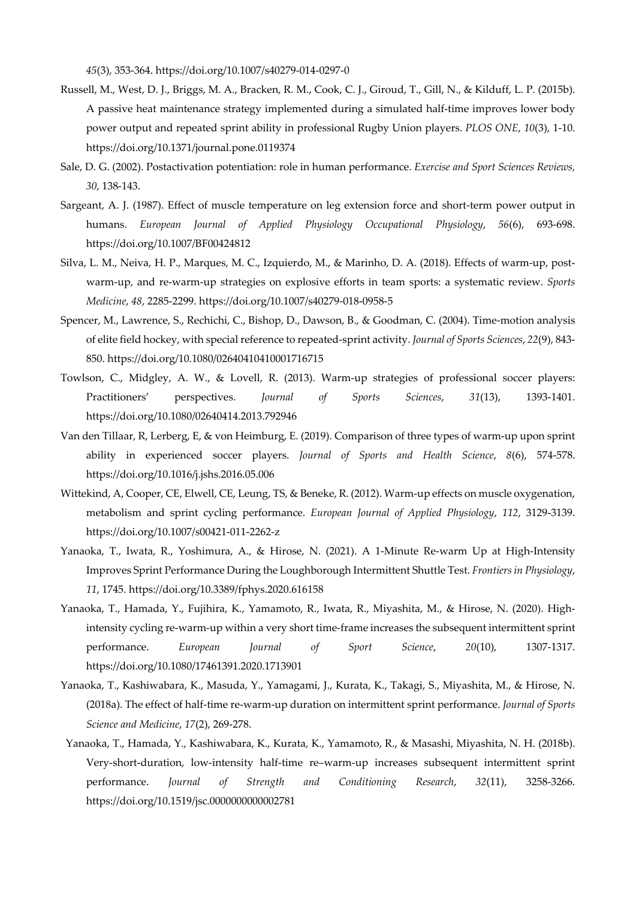*45*(3), 353-364. https://doi.org/10.1007/s40279-014-0297-0

- Russell, M., West, D. J., Briggs, M. A., Bracken, R. M., Cook, C. J., Giroud, T., Gill, N., & Kilduff, L. P. (2015b). A passive heat maintenance strategy implemented during a simulated half-time improves lower body power output and repeated sprint ability in professional Rugby Union players. *PLOS ONE*, *10*(3), 1-10. https://doi.org/10.1371/journal.pone.0119374
- Sale, D. G. (2002). Postactivation potentiation: role in human performance. *Exercise and Sport Sciences Reviews, 30*, 138-143.
- Sargeant, A. J. (1987). Effect of muscle temperature on leg extension force and short-term power output in humans. *European Journal of Applied Physiology Occupational Physiology*, *56*(6), 693-698. https://doi.org/10.1007/BF00424812
- Silva, L. M., Neiva, H. P., Marques, M. C., Izquierdo, M., & Marinho, D. A. (2018). Effects of warm-up, postwarm-up, and re-warm-up strategies on explosive efforts in team sports: a systematic review. *Sports Medicine*, *48*, 2285-2299. https://doi.org/10.1007/s40279-018-0958-5
- Spencer, M., Lawrence, S., Rechichi, C., Bishop, D., Dawson, B., & Goodman, C. (2004). Time-motion analysis of elite field hockey, with special reference to repeated-sprint activity. *Journal of Sports Sciences*, *22*(9), 843- 850. https://doi.org/10.1080/02640410410001716715
- Towlson, C., Midgley, A. W., & Lovell, R. (2013). Warm-up strategies of professional soccer players: Practitioners' perspectives. *Journal of Sports Sciences*, *31*(13), 1393-1401. https://doi.org/10.1080/02640414.2013.792946
- Van den Tillaar, R, Lerberg, E, & von Heimburg, E. (2019). Comparison of three types of warm-up upon sprint ability in experienced soccer players. *Journal of Sports and Health Science*, *8*(6), 574-578. https://doi.org/10.1016/j.jshs.2016.05.006
- Wittekind, A, Cooper, CE, Elwell, CE, Leung, TS, & Beneke, R. (2012). Warm-up effects on muscle oxygenation, metabolism and sprint cycling performance. *European Journal of Applied Physiology*, *112*, 3129-3139. https://doi.org/10.1007/s00421-011-2262-z
- Yanaoka, T., Iwata, R., Yoshimura, A., & Hirose, N. (2021). A 1-Minute Re-warm Up at High-Intensity Improves Sprint Performance During the Loughborough Intermittent Shuttle Test. *Frontiers in Physiology*, *11*, 1745. https://doi.org/10.3389/fphys.2020.616158
- Yanaoka, T., Hamada, Y., Fujihira, K., Yamamoto, R., Iwata, R., Miyashita, M., & Hirose, N. (2020). Highintensity cycling re-warm-up within a very short time-frame increases the subsequent intermittent sprint performance. *European Journal of Sport Science*, *20*(10), 1307-1317. https://doi.org/10.1080/17461391.2020.1713901
- Yanaoka, T., Kashiwabara, K., Masuda, Y., Yamagami, J., Kurata, K., Takagi, S., Miyashita, M., & Hirose, N. (2018a). The effect of half-time re-warm-up duration on intermittent sprint performance. *Journal of Sports Science and Medicine*, *17*(2), 269-278.
- Yanaoka, T., Hamada, Y., Kashiwabara, K., Kurata, K., Yamamoto, R., & Masashi, Miyashita, N. H. (2018b). Very-short-duration, low-intensity half-time re–warm-up increases subsequent intermittent sprint performance. *Journal of Strength and Conditioning Research*, *32*(11), 3258-3266. https://doi.org/10.1519/jsc.0000000000002781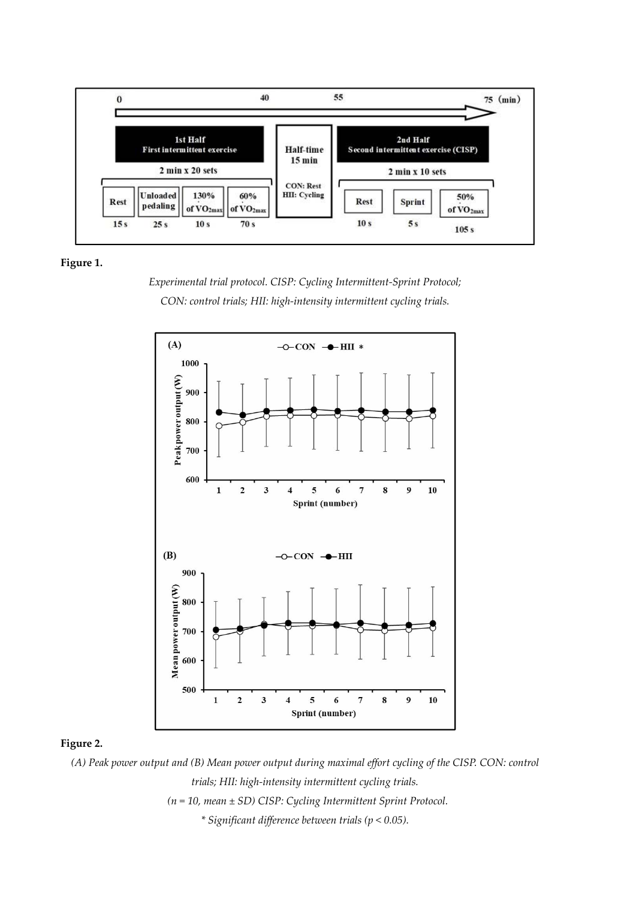



*Experimental trial protocol. CISP: Cycling Intermittent-Sprint Protocol; CON: control trials; HII: high-intensity intermittent cycling trials.* 



# **Figure 2.**

*(A) Peak power output and (B) Mean power output during maximal effort cycling of the CISP. CON: control trials; HII: high-intensity intermittent cycling trials. (n = 10, mean ± SD) CISP: Cycling Intermittent Sprint Protocol. \* Significant difference between trials (p < 0.05).*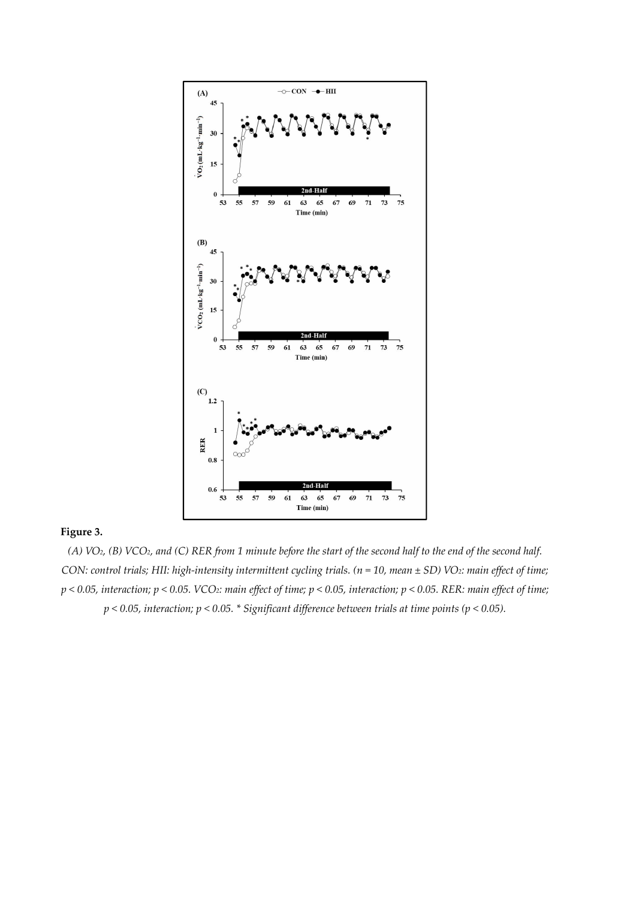

# **Figure 3.**

*(A) VO2, (B) VCO2, and (C) RER from 1 minute before the start of the second half to the end of the second half. CON: control trials; HII: high-intensity intermittent cycling trials. (n = 10, mean ± SD) VO<sub>2</sub>: main effect of time; p < 0.05, interaction; p < 0.05. VCO2: main effect of time; p < 0.05, interaction; p < 0.05. RER: main effect of time; p < 0.05, interaction; p < 0.05. \* Significant difference between trials at time points (p < 0.05).*